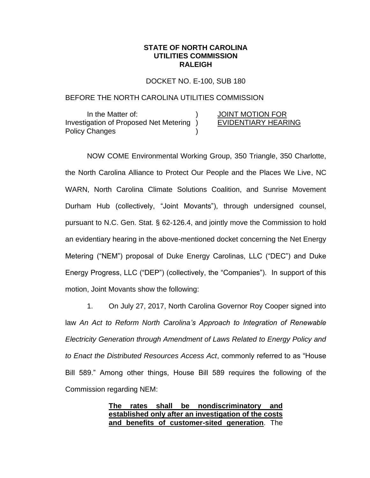## **STATE OF NORTH CAROLINA UTILITIES COMMISSION RALEIGH**

DOCKET NO. E-100, SUB 180

## BEFORE THE NORTH CAROLINA UTILITIES COMMISSION

In the Matter of:  $\overline{)}$  JOINT MOTION FOR Investigation of Proposed Net Metering ) EVIDENTIARY HEARING Policy Changes )

NOW COME Environmental Working Group, 350 Triangle, 350 Charlotte, the North Carolina Alliance to Protect Our People and the Places We Live, NC WARN, North Carolina Climate Solutions Coalition, and Sunrise Movement Durham Hub (collectively, "Joint Movants"), through undersigned counsel, pursuant to N.C. Gen. Stat. § 62-126.4, and jointly move the Commission to hold an evidentiary hearing in the above-mentioned docket concerning the Net Energy Metering ("NEM") proposal of Duke Energy Carolinas, LLC ("DEC") and Duke Energy Progress, LLC ("DEP") (collectively, the "Companies"). In support of this motion, Joint Movants show the following:

1. On July 27, 2017, North Carolina Governor Roy Cooper signed into law *An Act to Reform North Carolina's Approach to Integration of Renewable Electricity Generation through Amendment of Laws Related to Energy Policy and to Enact the Distributed Resources Access Act*, commonly referred to as "House Bill 589." Among other things, House Bill 589 requires the following of the Commission regarding NEM:

> **The rates shall be nondiscriminatory and established only after an investigation of the costs and benefits of customer-sited generation**. The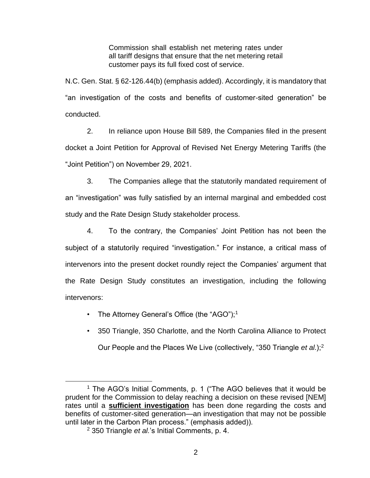Commission shall establish net metering rates under all tariff designs that ensure that the net metering retail customer pays its full fixed cost of service.

N.C. Gen. Stat. § 62-126.44(b) (emphasis added). Accordingly, it is mandatory that "an investigation of the costs and benefits of customer-sited generation" be conducted.

2. In reliance upon House Bill 589, the Companies filed in the present docket a Joint Petition for Approval of Revised Net Energy Metering Tariffs (the "Joint Petition") on November 29, 2021.

3. The Companies allege that the statutorily mandated requirement of an "investigation" was fully satisfied by an internal marginal and embedded cost study and the Rate Design Study stakeholder process.

4. To the contrary, the Companies' Joint Petition has not been the subject of a statutorily required "investigation." For instance, a critical mass of intervenors into the present docket roundly reject the Companies' argument that the Rate Design Study constitutes an investigation, including the following intervenors:

- The Attorney General's Office (the "AGO");<sup>1</sup>
- 350 Triangle, 350 Charlotte, and the North Carolina Alliance to Protect Our People and the Places We Live (collectively, "350 Triangle *et al.*);<sup>2</sup>

<sup>&</sup>lt;sup>1</sup> The AGO's Initial Comments, p. 1 ("The AGO believes that it would be prudent for the Commission to delay reaching a decision on these revised [NEM] rates until a **sufficient investigation** has been done regarding the costs and benefits of customer-sited generation—an investigation that may not be possible until later in the Carbon Plan process." (emphasis added)).

<sup>2</sup> 350 Triangle *et al.*'s Initial Comments, p. 4.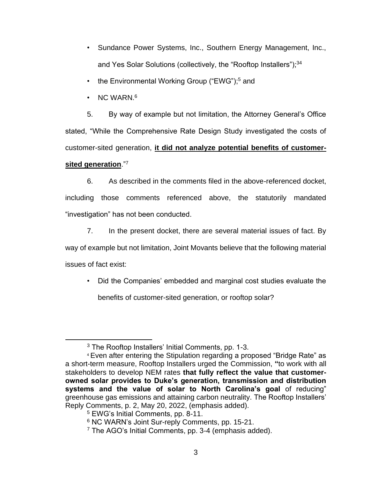- Sundance Power Systems, Inc., Southern Energy Management, Inc., and Yes Solar Solutions (collectively, the "Rooftop Installers");<sup>34</sup>
- the Environmental Working Group ("EWG");<sup>5</sup> and
- NC WARN.<sup>6</sup>

5. By way of example but not limitation, the Attorney General's Office stated, "While the Comprehensive Rate Design Study investigated the costs of customer-sited generation, **it did not analyze potential benefits of customersited generation**."<sup>7</sup>

6. As described in the comments filed in the above-referenced docket, including those comments referenced above, the statutorily mandated "investigation" has not been conducted.

7. In the present docket, there are several material issues of fact. By way of example but not limitation, Joint Movants believe that the following material issues of fact exist:

• Did the Companies' embedded and marginal cost studies evaluate the benefits of customer-sited generation, or rooftop solar?

<sup>3</sup> The Rooftop Installers' Initial Comments, pp. 1-3.

<sup>4</sup> Even after entering the Stipulation regarding a proposed "Bridge Rate" as a short-term measure, Rooftop Installers urged the Commission, **"**to work with all stakeholders to develop NEM rates **that fully reflect the value that customerowned solar provides to Duke's generation, transmission and distribution systems and the value of solar to North Carolina's goal** of reducing" greenhouse gas emissions and attaining carbon neutrality. The Rooftop Installers' Reply Comments, p. 2, May 20, 2022, (emphasis added).

<sup>5</sup> EWG's Initial Comments, pp. 8-11.

<sup>&</sup>lt;sup>6</sup> NC WARN's Joint Sur-reply Comments, pp. 15-21.

 $7$  The AGO's Initial Comments, pp. 3-4 (emphasis added).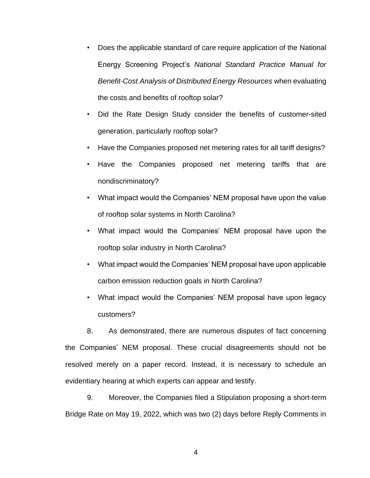- Does the applicable standard of care require application of the National Energy Screening Project's *National Standard Practice Manual for Benefit-Cost Analysis of Distributed Energy Resources* when evaluating the costs and benefits of rooftop solar?
- Did the Rate Design Study consider the benefits of customer-sited generation, particularly rooftop solar?
- Have the Companies proposed net metering rates for all tariff designs?
- Have the Companies proposed net metering tariffs that are nondiscriminatory?
- What impact would the Companies' NEM proposal have upon the value of rooftop solar systems in North Carolina?
- What impact would the Companies' NEM proposal have upon the rooftop solar industry in North Carolina?
- What impact would the Companies' NEM proposal have upon applicable carbon emission reduction goals in North Carolina?
- What impact would the Companies' NEM proposal have upon legacy customers?

8. As demonstrated, there are numerous disputes of fact concerning the Companies' NEM proposal. These crucial disagreements should not be resolved merely on a paper record. Instead, it is necessary to schedule an evidentiary hearing at which experts can appear and testify.

9. Moreover, the Companies filed a Stipulation proposing a short-term Bridge Rate on May 19, 2022, which was two (2) days before Reply Comments in

4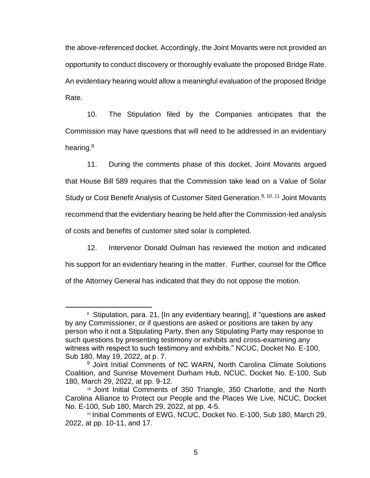the above-referenced docket. Accordingly, the Joint Movants were not provided an opportunity to conduct discovery or thoroughly evaluate the proposed Bridge Rate. An evidentiary hearing would allow a meaningful evaluation of the proposed Bridge Rate.

10. The Stipulation filed by the Companies anticipates that the Commission may have questions that will need to be addressed in an evidentiary hearing.<sup>8</sup>

11. During the comments phase of this docket, Joint Movants argued that House Bill 589 requires that the Commission take lead on a Value of Solar Study or Cost Benefit Analysis of Customer Sited Generation.<sup>9, 10, 11</sup> Joint Movants recommend that the evidentiary hearing be held after the Commission-led analysis of costs and benefits of customer sited solar is completed.

12. Intervenor Donald Oulman has reviewed the motion and indicated his support for an evidentiary hearing in the matter. Further, counsel for the Office of the Attorney General has indicated that they do not oppose the motion.

<sup>&</sup>lt;sup>8</sup> Stipulation, para. 21, [In any evidentiary hearing], if "questions are asked by any Commissioner, or if questions are asked or positions are taken by any person who it not a Stipulating Party, then any Stipulating Party may response to such questions by presenting testimony or exhibits and cross-examining any witness with respect to such testimony and exhibits." NCUC, Docket No. E-100, Sub 180, May 19, 2022, at p. 7.

<sup>&</sup>lt;sup>9</sup> Joint Initial Comments of NC WARN, North Carolina Climate Solutions Coalition, and Sunrise Movement Durham Hub, NCUC, Docket No. E-100, Sub 180, March 29, 2022, at pp. 9-12.

<sup>10</sup> Joint Initial Comments of 350 Triangle, 350 Charlotte, and the North Carolina Alliance to Protect our People and the Places We Live, NCUC, Docket No. E-100, Sub 180, March 29, 2022, at pp. 4-5.

<sup>11</sup> Initial Comments of EWG, NCUC, Docket No. E-100, Sub 180, March 29, 2022, at pp. 10-11, and 17.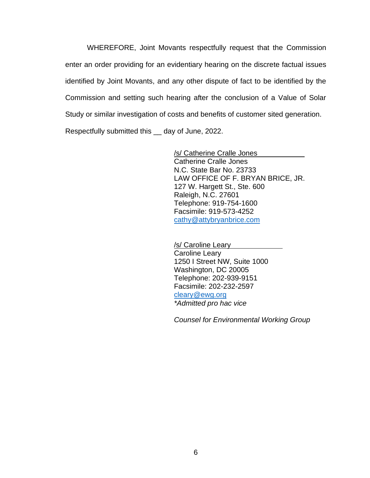WHEREFORE, Joint Movants respectfully request that the Commission enter an order providing for an evidentiary hearing on the discrete factual issues identified by Joint Movants, and any other dispute of fact to be identified by the Commission and setting such hearing after the conclusion of a Value of Solar Study or similar investigation of costs and benefits of customer sited generation. Respectfully submitted this \_\_ day of June, 2022.

> /s/ Catherine Cralle Jones Catherine Cralle Jones N.C. State Bar No. 23733 LAW OFFICE OF F. BRYAN BRICE, JR. 127 W. Hargett St., Ste. 600 Raleigh, N.C. 27601 Telephone: 919-754-1600 Facsimile: 919-573-4252 [cathy@attybryanbrice.com](mailto:cathy@attybryanbrice.com)

/s/ Caroline Leary Caroline Leary 1250 I Street NW, Suite 1000 Washington, DC 20005 Telephone: 202-939-9151 Facsimile: 202-232-2597 [cleary@ewg.org](mailto:cleary@ewg.org) *\*Admitted pro hac vice*

*Counsel for Environmental Working Group*